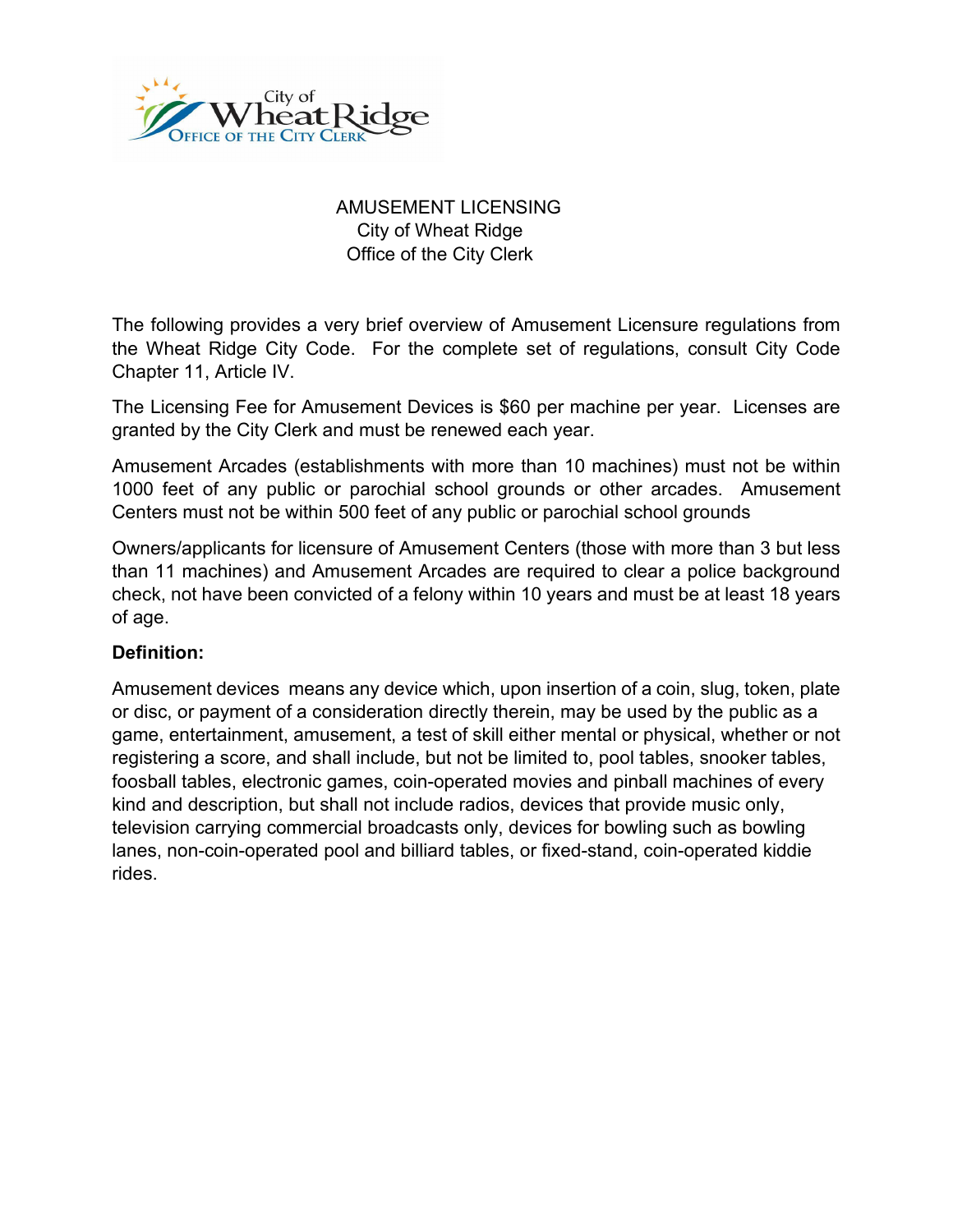

# AMUSEMENT LICENSING City of Wheat Ridge Office of the City Clerk

The following provides a very brief overview of Amusement Licensure regulations from the Wheat Ridge City Code. For the complete set of regulations, consult City Code Chapter 11, Article IV.

The Licensing Fee for Amusement Devices is \$60 per machine per year. Licenses are granted by the City Clerk and must be renewed each year.

Amusement Arcades (establishments with more than 10 machines) must not be within 1000 feet of any public or parochial school grounds or other arcades. Amusement Centers must not be within 500 feet of any public or parochial school grounds

Owners/applicants for licensure of Amusement Centers (those with more than 3 but less than 11 machines) and Amusement Arcades are required to clear a police background check, not have been convicted of a felony within 10 years and must be at least 18 years of age.

# **Definition:**

Amusement devices means any device which, upon insertion of a coin, slug, token, plate or disc, or payment of a consideration directly therein, may be used by the public as a game, entertainment, amusement, a test of skill either mental or physical, whether or not registering a score, and shall include, but not be limited to, pool tables, snooker tables, foosball tables, electronic games, coin-operated movies and pinball machines of every kind and description, but shall not include radios, devices that provide music only, television carrying commercial broadcasts only, devices for bowling such as bowling lanes, non-coin-operated pool and billiard tables, or fixed-stand, coin-operated kiddie rides.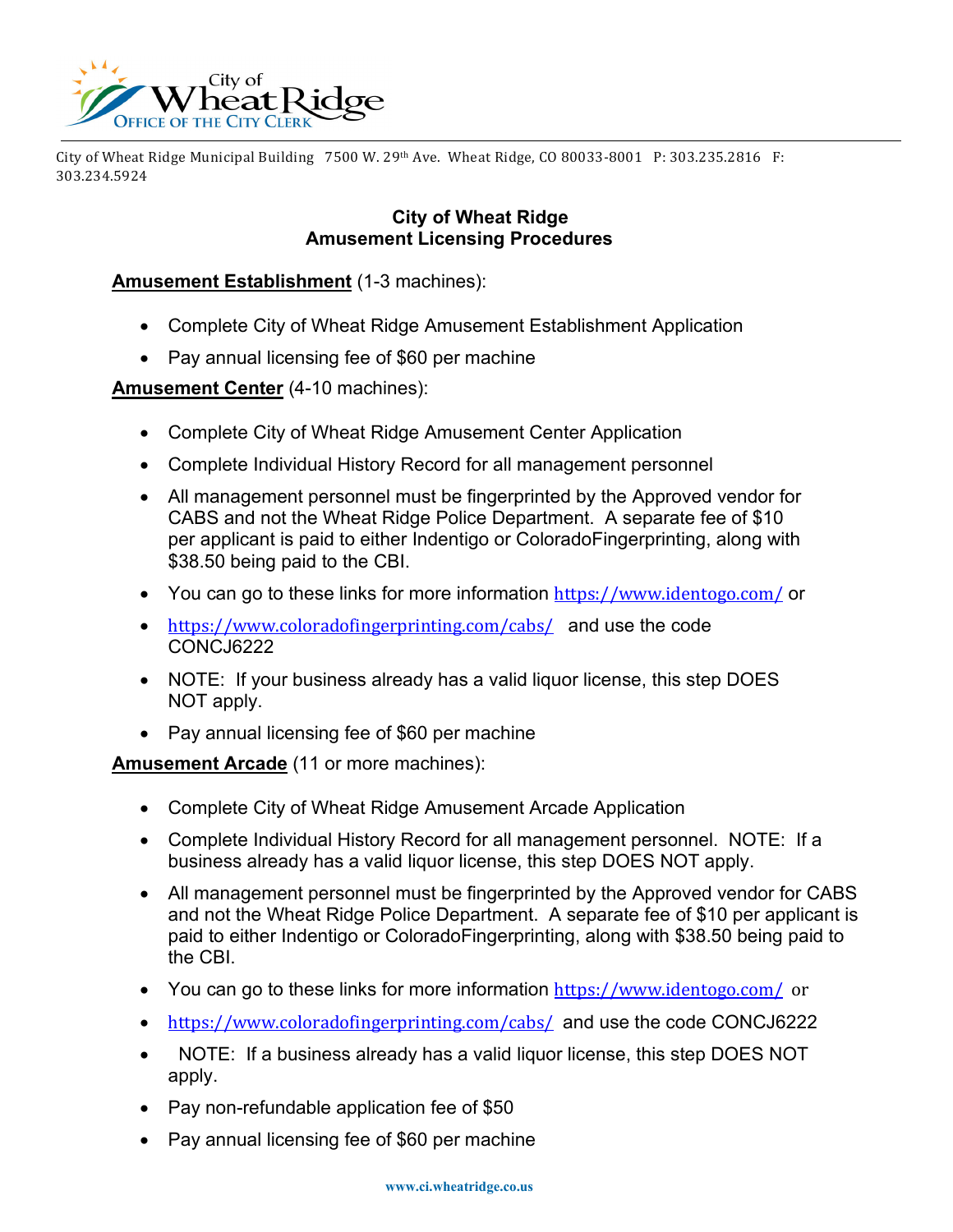

City of Wheat Ridge Municipal Building 7500 W. 29th Ave. Wheat Ridge, CO 80033-8001 P: 303.235.2816 F: 303.234.5924

#### **City of Wheat Ridge Amusement Licensing Procedures**

## **Amusement Establishment** (1-3 machines):

- Complete City of Wheat Ridge Amusement Establishment Application
- Pay annual licensing fee of \$60 per machine

## **Amusement Center** (4-10 machines):

- Complete City of Wheat Ridge Amusement Center Application
- Complete Individual History Record for all management personnel
- All management personnel must be fingerprinted by the Approved vendor for CABS and not the Wheat Ridge Police Department. A separate fee of \$10 per applicant is paid to either Indentigo or ColoradoFingerprinting, along with \$38.50 being paid to the CBI.
- You can go to these links for more information <https://www.identogo.com/> or
- <https://www.coloradofingerprinting.com/cabs/> and use the code CONCJ6222
- NOTE: If your business already has a valid liquor license, this step DOES NOT apply.
- Pay annual licensing fee of \$60 per machine

**Amusement Arcade** (11 or more machines):

- Complete City of Wheat Ridge Amusement Arcade Application
- Complete Individual History Record for all management personnel. NOTE: If a business already has a valid liquor license, this step DOES NOT apply.
- All management personnel must be fingerprinted by the Approved vendor for CABS and not the Wheat Ridge Police Department. A separate fee of \$10 per applicant is paid to either Indentigo or ColoradoFingerprinting, along with \$38.50 being paid to the CBI.
- You can go to these links for more information <https://www.identogo.com/>or
- <https://www.coloradofingerprinting.com/cabs/> and use the code CONCJ6222
- NOTE: If a business already has a valid liquor license, this step DOES NOT apply.
- Pay non-refundable application fee of \$50
- Pay annual licensing fee of \$60 per machine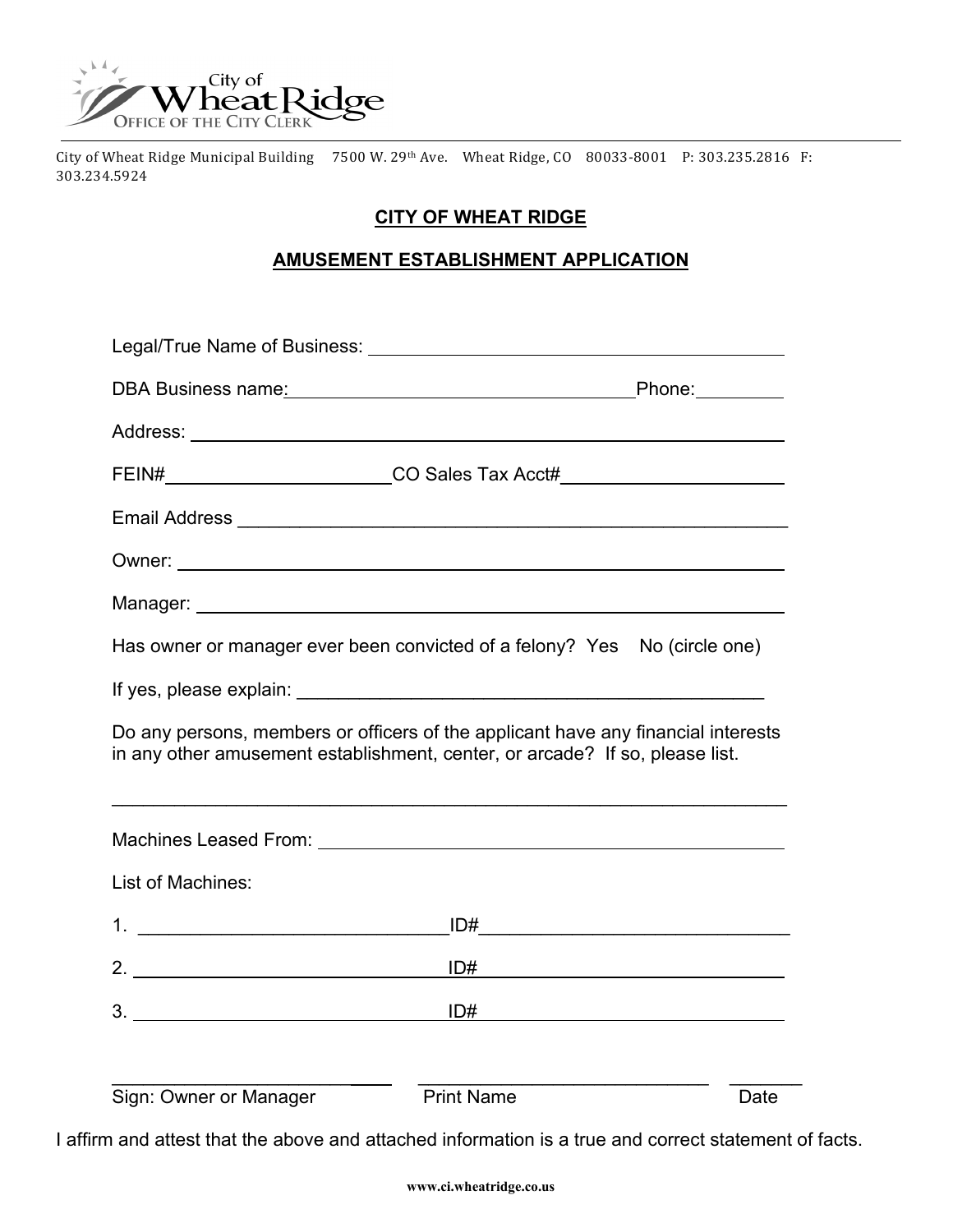

City of Wheat Ridge Municipal Building 7500 W. 29th Ave. Wheat Ridge, CO 80033-8001 P: 303.235.2816 F: 303.234.5924

# **CITY OF WHEAT RIDGE**

## **AMUSEMENT ESTABLISHMENT APPLICATION**

| DBA Business name: Notified that the set of the property of the property of the property of the property of the property of the property of the property of the property of the property of the property of the property of th                         |                   |                                                   |  |  |  |
|--------------------------------------------------------------------------------------------------------------------------------------------------------------------------------------------------------------------------------------------------------|-------------------|---------------------------------------------------|--|--|--|
|                                                                                                                                                                                                                                                        |                   |                                                   |  |  |  |
| FEIN#____________________________CO Sales Tax Acct#_____________________________                                                                                                                                                                       |                   |                                                   |  |  |  |
|                                                                                                                                                                                                                                                        |                   |                                                   |  |  |  |
|                                                                                                                                                                                                                                                        |                   |                                                   |  |  |  |
|                                                                                                                                                                                                                                                        |                   |                                                   |  |  |  |
| Has owner or manager ever been convicted of a felony? Yes No (circle one)                                                                                                                                                                              |                   |                                                   |  |  |  |
|                                                                                                                                                                                                                                                        |                   |                                                   |  |  |  |
| Do any persons, members or officers of the applicant have any financial interests<br>in any other amusement establishment, center, or arcade? If so, please list.<br>,我们也不能在这里的人,我们也不能在这里的人,我们也不能在这里的人,我们也不能在这里的人,我们也不能在这里的人,我们也不能在这里的人,我们也不能在这里的人,我们也 |                   |                                                   |  |  |  |
|                                                                                                                                                                                                                                                        |                   |                                                   |  |  |  |
| <b>List of Machines:</b>                                                                                                                                                                                                                               |                   |                                                   |  |  |  |
|                                                                                                                                                                                                                                                        |                   |                                                   |  |  |  |
|                                                                                                                                                                                                                                                        |                   |                                                   |  |  |  |
|                                                                                                                                                                                                                                                        | ID#               | <u> 1980 - Johann Barbara, martxa alemaniar a</u> |  |  |  |
| Sign: Owner or Manager                                                                                                                                                                                                                                 | <b>Print Name</b> | Date                                              |  |  |  |

I affirm and attest that the above and attached information is a true and correct statement of facts.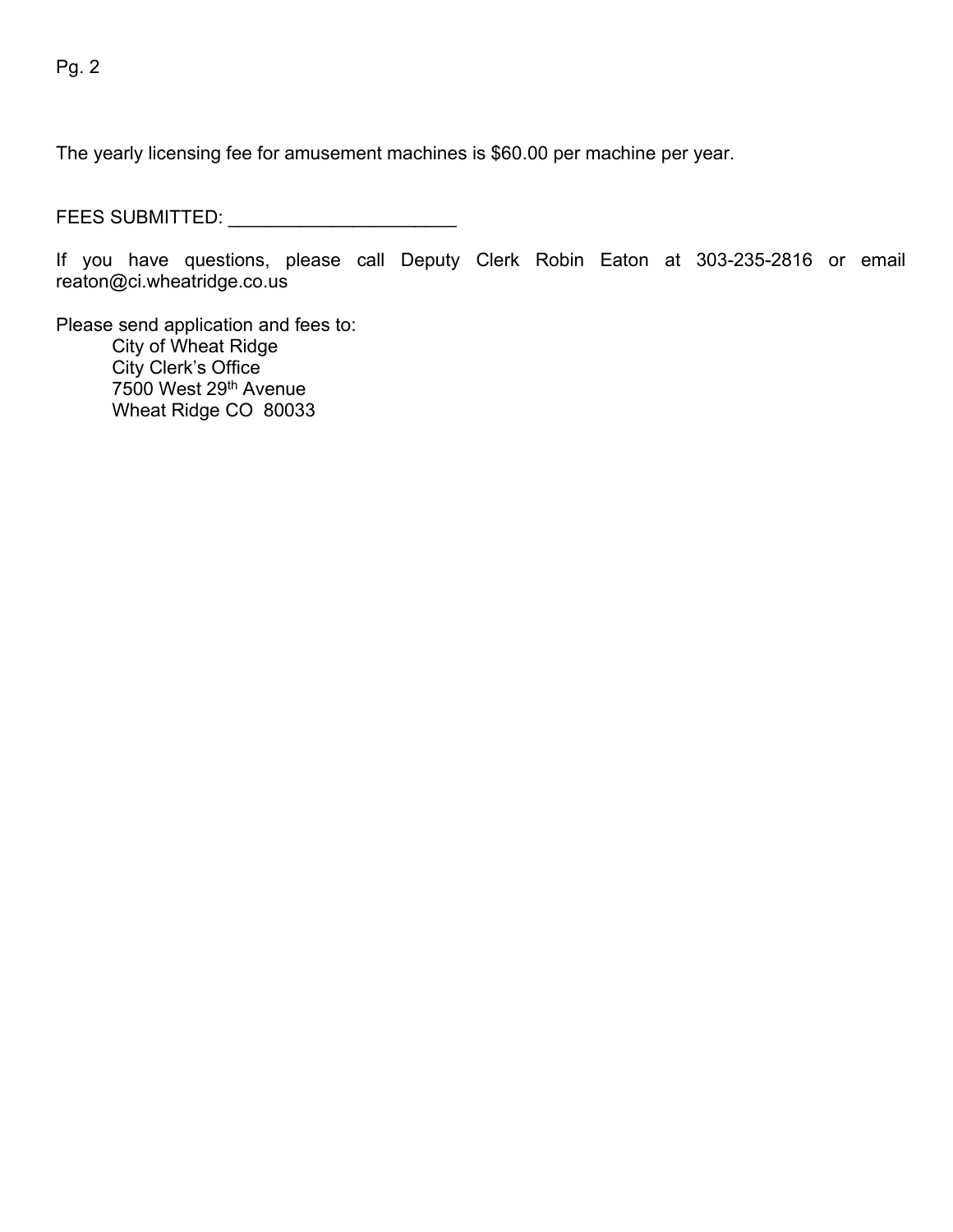The yearly licensing fee for amusement machines is \$60.00 per machine per year.

FEES SUBMITTED: \_\_\_\_\_\_\_\_\_\_\_\_\_\_\_\_\_\_\_\_\_\_

If you have questions, please call Deputy Clerk Robin Eaton at 303-235-2816 or email reaton@ci.wheatridge.co.us

Please send application and fees to: City of Wheat Ridge City Clerk's Office 7500 West 29th Avenue Wheat Ridge CO 80033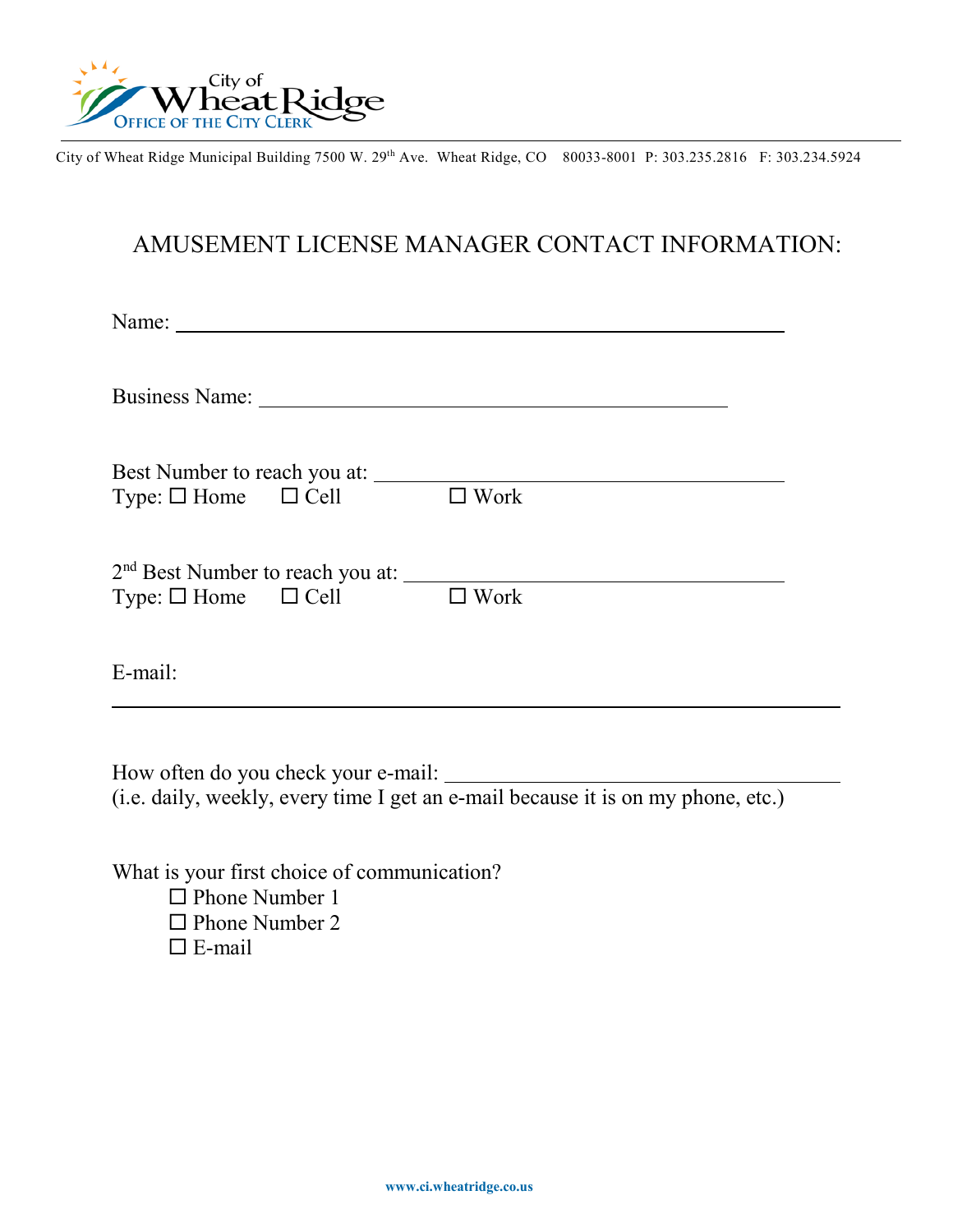

City of Wheat Ridge Municipal Building 7500 W. 29th Ave. Wheat Ridge, CO 80033-8001 P: 303.235.2816 F: 303.234.5924

# AMUSEMENT LICENSE MANAGER CONTACT INFORMATION:

| Name:                               | <u> 1989 - John Stein, mars and de Britain and de Britain and de Britain and de Britain and de Britain and de Br</u> |                |  |
|-------------------------------------|----------------------------------------------------------------------------------------------------------------------|----------------|--|
|                                     | Business Name:                                                                                                       |                |  |
| Type: $\Box$ Home $\Box$ Cell       | Best Number to reach you at:                                                                                         | $\square$ Work |  |
| Type: $\square$ Home $\square$ Cell |                                                                                                                      | $\Box$ Work    |  |
| E-mail:                             |                                                                                                                      |                |  |

How often do you check your e-mail: (i.e. daily, weekly, every time I get an e-mail because it is on my phone, etc.)

What is your first choice of communication?  $\Box$  Phone Number 1  $\Box$  Phone Number 2  $\Box$  E-mail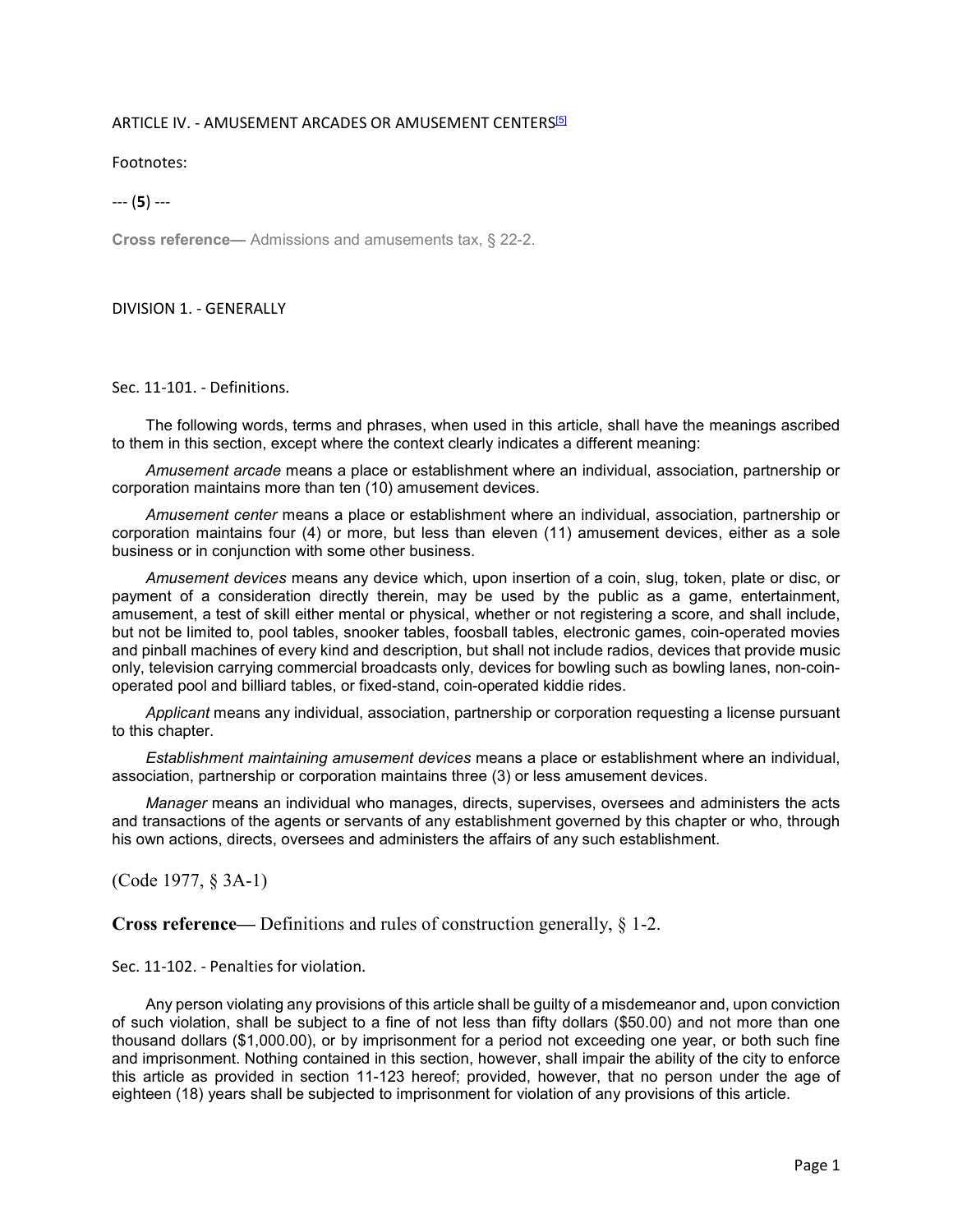#### ARTICLE IV. - AMUSEMENT ARCADES OR AMUSEMENT CENTERS<sup>[5]</sup>

Footnotes:

--- (**5**) ---

**Cross reference—** Admissions and amusements tax, § 22-2.

#### DIVISION 1. - GENERALLY

Sec. 11-101. - Definitions.

The following words, terms and phrases, when used in this article, shall have the meanings ascribed to them in this section, except where the context clearly indicates a different meaning:

*Amusement arcade* means a place or establishment where an individual, association, partnership or corporation maintains more than ten (10) amusement devices.

*Amusement center* means a place or establishment where an individual, association, partnership or corporation maintains four (4) or more, but less than eleven (11) amusement devices, either as a sole business or in conjunction with some other business.

*Amusement devices* means any device which, upon insertion of a coin, slug, token, plate or disc, or payment of a consideration directly therein, may be used by the public as a game, entertainment, amusement, a test of skill either mental or physical, whether or not registering a score, and shall include, but not be limited to, pool tables, snooker tables, foosball tables, electronic games, coin-operated movies and pinball machines of every kind and description, but shall not include radios, devices that provide music only, television carrying commercial broadcasts only, devices for bowling such as bowling lanes, non-coinoperated pool and billiard tables, or fixed-stand, coin-operated kiddie rides.

*Applicant* means any individual, association, partnership or corporation requesting a license pursuant to this chapter.

*Establishment maintaining amusement devices* means a place or establishment where an individual, association, partnership or corporation maintains three (3) or less amusement devices.

*Manager* means an individual who manages, directs, supervises, oversees and administers the acts and transactions of the agents or servants of any establishment governed by this chapter or who, through his own actions, directs, oversees and administers the affairs of any such establishment.

(Code 1977, § 3A-1)

**Cross reference—** Definitions and rules of construction generally, § 1-2.

Sec. 11-102. - Penalties for violation.

Any person violating any provisions of this article shall be guilty of a misdemeanor and, upon conviction of such violation, shall be subject to a fine of not less than fifty dollars (\$50.00) and not more than one thousand dollars (\$1,000.00), or by imprisonment for a period not exceeding one year, or both such fine and imprisonment. Nothing contained in this section, however, shall impair the ability of the city to enforce this article as provided in section 11-123 hereof; provided, however, that no person under the age of eighteen (18) years shall be subjected to imprisonment for violation of any provisions of this article.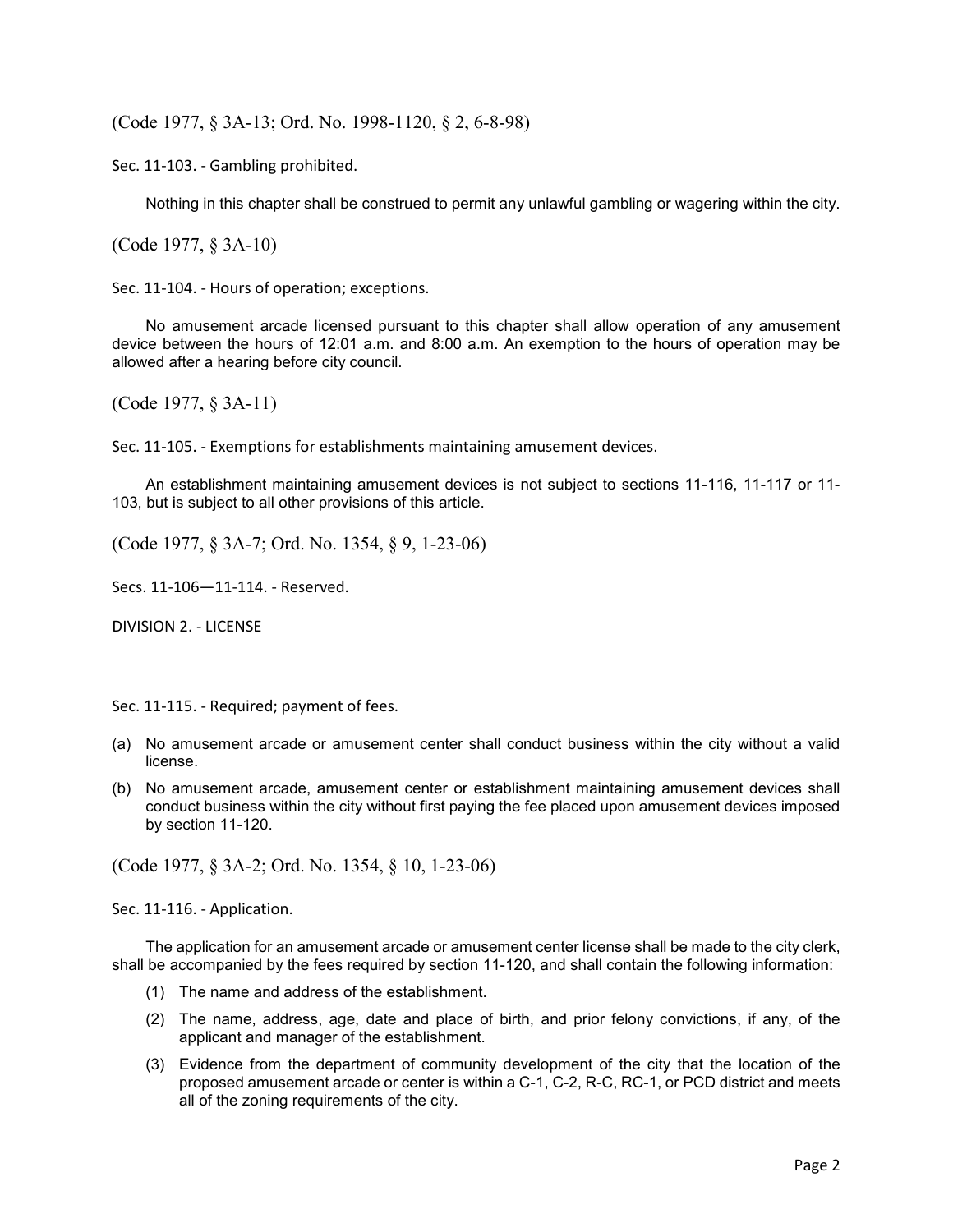(Code 1977, § 3A-13; Ord. No. 1998-1120, § 2, 6-8-98)

Sec. 11-103. - Gambling prohibited.

Nothing in this chapter shall be construed to permit any unlawful gambling or wagering within the city.

(Code 1977, § 3A-10)

Sec. 11-104. - Hours of operation; exceptions.

No amusement arcade licensed pursuant to this chapter shall allow operation of any amusement device between the hours of 12:01 a.m. and 8:00 a.m. An exemption to the hours of operation may be allowed after a hearing before city council.

(Code 1977, § 3A-11)

Sec. 11-105. - Exemptions for establishments maintaining amusement devices.

An establishment maintaining amusement devices is not subject to sections 11-116, 11-117 or 11- 103, but is subject to all other provisions of this article.

(Code 1977, § 3A-7; Ord. No. 1354, § 9, 1-23-06)

Secs. 11-106—11-114. - Reserved.

DIVISION 2. - LICENSE

Sec. 11-115. - Required; payment of fees.

- (a) No amusement arcade or amusement center shall conduct business within the city without a valid license.
- (b) No amusement arcade, amusement center or establishment maintaining amusement devices shall conduct business within the city without first paying the fee placed upon amusement devices imposed by section 11-120.

(Code 1977, § 3A-2; Ord. No. 1354, § 10, 1-23-06)

Sec. 11-116. - Application.

The application for an amusement arcade or amusement center license shall be made to the city clerk, shall be accompanied by the fees required by section 11-120, and shall contain the following information:

- (1) The name and address of the establishment.
- (2) The name, address, age, date and place of birth, and prior felony convictions, if any, of the applicant and manager of the establishment.
- (3) Evidence from the department of community development of the city that the location of the proposed amusement arcade or center is within a C-1, C-2, R-C, RC-1, or PCD district and meets all of the zoning requirements of the city.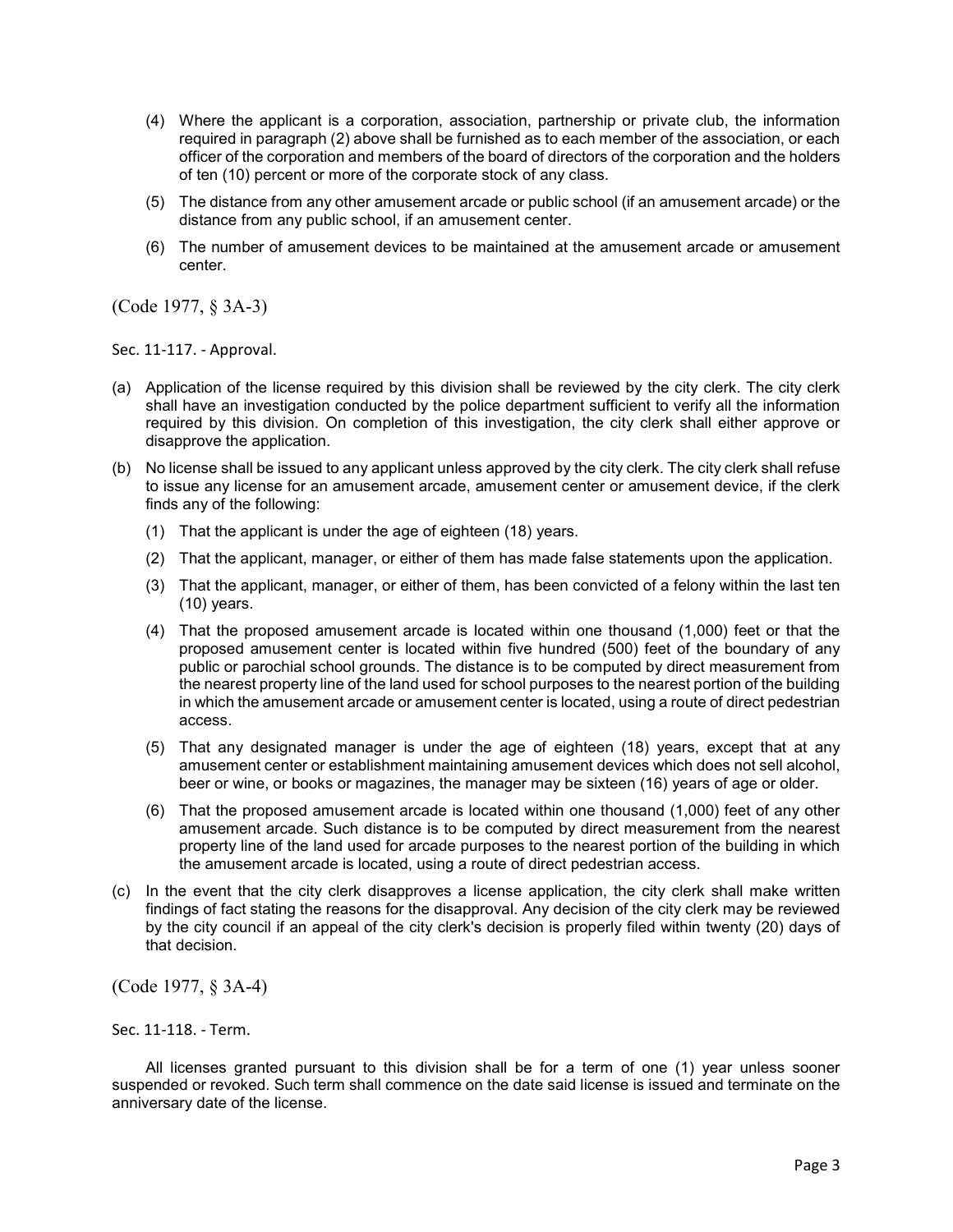- (4) Where the applicant is a corporation, association, partnership or private club, the information required in paragraph (2) above shall be furnished as to each member of the association, or each officer of the corporation and members of the board of directors of the corporation and the holders of ten (10) percent or more of the corporate stock of any class.
- (5) The distance from any other amusement arcade or public school (if an amusement arcade) or the distance from any public school, if an amusement center.
- (6) The number of amusement devices to be maintained at the amusement arcade or amusement center.

(Code 1977, § 3A-3)

Sec. 11-117. - Approval.

- (a) Application of the license required by this division shall be reviewed by the city clerk. The city clerk shall have an investigation conducted by the police department sufficient to verify all the information required by this division. On completion of this investigation, the city clerk shall either approve or disapprove the application.
- (b) No license shall be issued to any applicant unless approved by the city clerk. The city clerk shall refuse to issue any license for an amusement arcade, amusement center or amusement device, if the clerk finds any of the following:
	- (1) That the applicant is under the age of eighteen (18) years.
	- (2) That the applicant, manager, or either of them has made false statements upon the application.
	- (3) That the applicant, manager, or either of them, has been convicted of a felony within the last ten (10) years.
	- (4) That the proposed amusement arcade is located within one thousand (1,000) feet or that the proposed amusement center is located within five hundred (500) feet of the boundary of any public or parochial school grounds. The distance is to be computed by direct measurement from the nearest property line of the land used for school purposes to the nearest portion of the building in which the amusement arcade or amusement center is located, using a route of direct pedestrian access.
	- (5) That any designated manager is under the age of eighteen (18) years, except that at any amusement center or establishment maintaining amusement devices which does not sell alcohol, beer or wine, or books or magazines, the manager may be sixteen (16) years of age or older.
	- (6) That the proposed amusement arcade is located within one thousand (1,000) feet of any other amusement arcade. Such distance is to be computed by direct measurement from the nearest property line of the land used for arcade purposes to the nearest portion of the building in which the amusement arcade is located, using a route of direct pedestrian access.
- (c) In the event that the city clerk disapproves a license application, the city clerk shall make written findings of fact stating the reasons for the disapproval. Any decision of the city clerk may be reviewed by the city council if an appeal of the city clerk's decision is properly filed within twenty (20) days of that decision.

(Code 1977, § 3A-4)

Sec. 11-118. - Term.

All licenses granted pursuant to this division shall be for a term of one (1) year unless sooner suspended or revoked. Such term shall commence on the date said license is issued and terminate on the anniversary date of the license.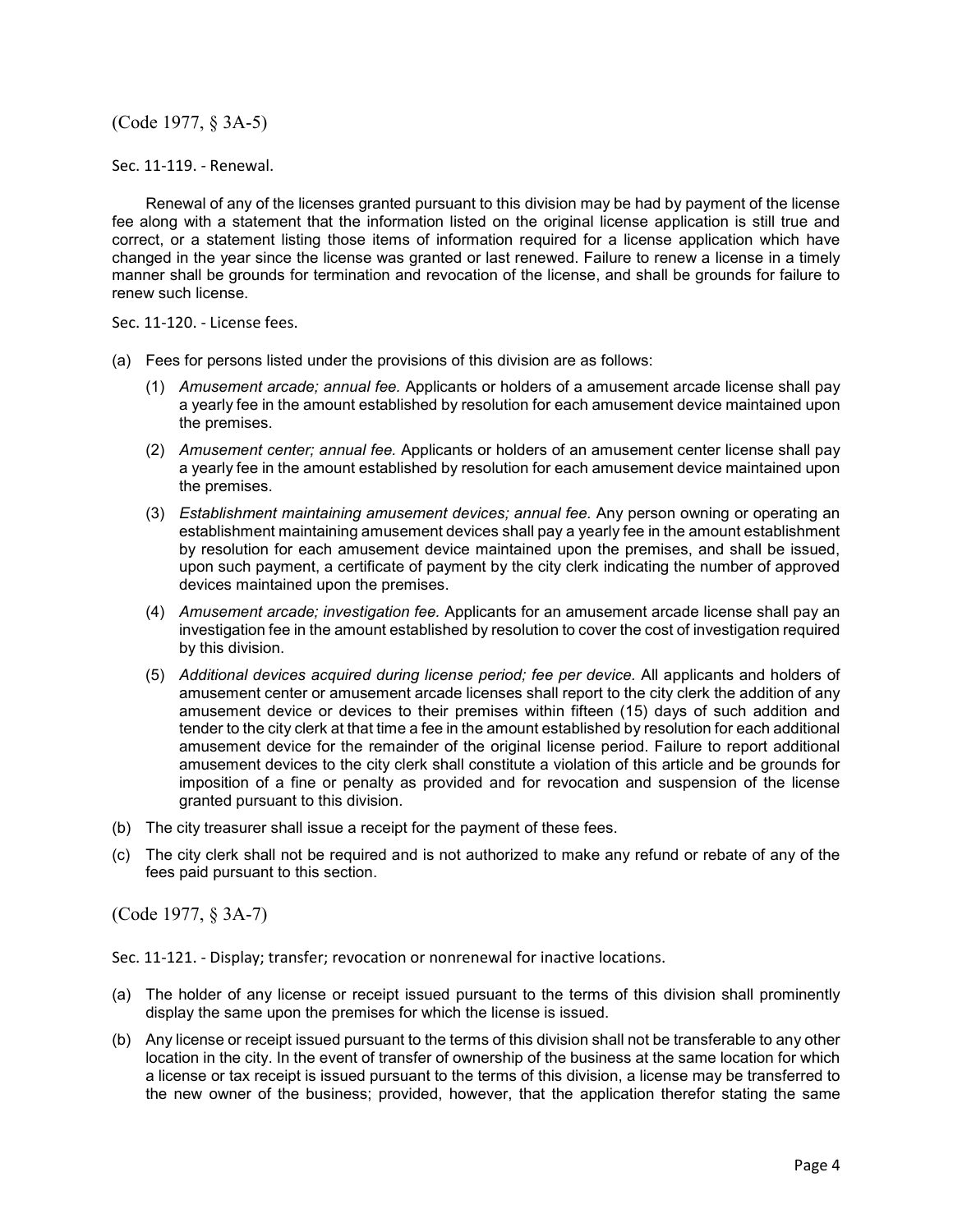(Code 1977, § 3A-5)

Sec. 11-119. - Renewal.

Renewal of any of the licenses granted pursuant to this division may be had by payment of the license fee along with a statement that the information listed on the original license application is still true and correct, or a statement listing those items of information required for a license application which have changed in the year since the license was granted or last renewed. Failure to renew a license in a timely manner shall be grounds for termination and revocation of the license, and shall be grounds for failure to renew such license.

Sec. 11-120. - License fees.

- (a) Fees for persons listed under the provisions of this division are as follows:
	- (1) *Amusement arcade; annual fee.* Applicants or holders of a amusement arcade license shall pay a yearly fee in the amount established by resolution for each amusement device maintained upon the premises.
	- (2) *Amusement center; annual fee.* Applicants or holders of an amusement center license shall pay a yearly fee in the amount established by resolution for each amusement device maintained upon the premises.
	- (3) *Establishment maintaining amusement devices; annual fee.* Any person owning or operating an establishment maintaining amusement devices shall pay a yearly fee in the amount establishment by resolution for each amusement device maintained upon the premises, and shall be issued, upon such payment, a certificate of payment by the city clerk indicating the number of approved devices maintained upon the premises.
	- (4) *Amusement arcade; investigation fee.* Applicants for an amusement arcade license shall pay an investigation fee in the amount established by resolution to cover the cost of investigation required by this division.
	- (5) *Additional devices acquired during license period; fee per device.* All applicants and holders of amusement center or amusement arcade licenses shall report to the city clerk the addition of any amusement device or devices to their premises within fifteen (15) days of such addition and tender to the city clerk at that time a fee in the amount established by resolution for each additional amusement device for the remainder of the original license period. Failure to report additional amusement devices to the city clerk shall constitute a violation of this article and be grounds for imposition of a fine or penalty as provided and for revocation and suspension of the license granted pursuant to this division.
- (b) The city treasurer shall issue a receipt for the payment of these fees.
- (c) The city clerk shall not be required and is not authorized to make any refund or rebate of any of the fees paid pursuant to this section.

(Code 1977, § 3A-7)

Sec. 11-121. - Display; transfer; revocation or nonrenewal for inactive locations.

- (a) The holder of any license or receipt issued pursuant to the terms of this division shall prominently display the same upon the premises for which the license is issued.
- (b) Any license or receipt issued pursuant to the terms of this division shall not be transferable to any other location in the city. In the event of transfer of ownership of the business at the same location for which a license or tax receipt is issued pursuant to the terms of this division, a license may be transferred to the new owner of the business; provided, however, that the application therefor stating the same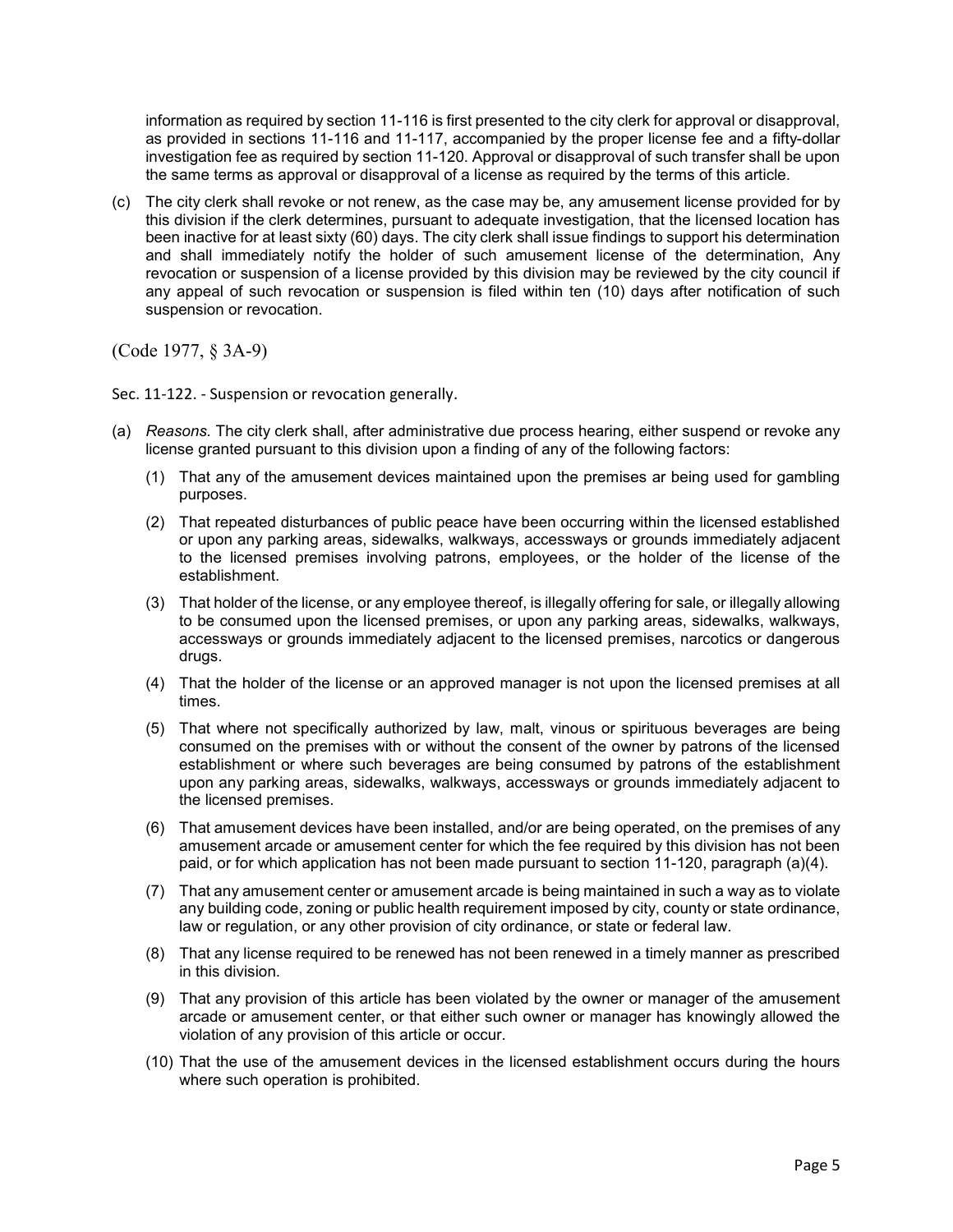information as required by section 11-116 is first presented to the city clerk for approval or disapproval, as provided in sections 11-116 and 11-117, accompanied by the proper license fee and a fifty-dollar investigation fee as required by section 11-120. Approval or disapproval of such transfer shall be upon the same terms as approval or disapproval of a license as required by the terms of this article.

(c) The city clerk shall revoke or not renew, as the case may be, any amusement license provided for by this division if the clerk determines, pursuant to adequate investigation, that the licensed location has been inactive for at least sixty (60) days. The city clerk shall issue findings to support his determination and shall immediately notify the holder of such amusement license of the determination, Any revocation or suspension of a license provided by this division may be reviewed by the city council if any appeal of such revocation or suspension is filed within ten (10) days after notification of such suspension or revocation.

(Code 1977, § 3A-9)

Sec. 11-122. - Suspension or revocation generally.

- (a) *Reasons.* The city clerk shall, after administrative due process hearing, either suspend or revoke any license granted pursuant to this division upon a finding of any of the following factors:
	- (1) That any of the amusement devices maintained upon the premises ar being used for gambling purposes.
	- (2) That repeated disturbances of public peace have been occurring within the licensed established or upon any parking areas, sidewalks, walkways, accessways or grounds immediately adjacent to the licensed premises involving patrons, employees, or the holder of the license of the establishment.
	- (3) That holder of the license, or any employee thereof, is illegally offering for sale, or illegally allowing to be consumed upon the licensed premises, or upon any parking areas, sidewalks, walkways, accessways or grounds immediately adjacent to the licensed premises, narcotics or dangerous drugs.
	- (4) That the holder of the license or an approved manager is not upon the licensed premises at all times.
	- (5) That where not specifically authorized by law, malt, vinous or spirituous beverages are being consumed on the premises with or without the consent of the owner by patrons of the licensed establishment or where such beverages are being consumed by patrons of the establishment upon any parking areas, sidewalks, walkways, accessways or grounds immediately adjacent to the licensed premises.
	- (6) That amusement devices have been installed, and/or are being operated, on the premises of any amusement arcade or amusement center for which the fee required by this division has not been paid, or for which application has not been made pursuant to section 11-120, paragraph (a)(4).
	- (7) That any amusement center or amusement arcade is being maintained in such a way as to violate any building code, zoning or public health requirement imposed by city, county or state ordinance, law or regulation, or any other provision of city ordinance, or state or federal law.
	- (8) That any license required to be renewed has not been renewed in a timely manner as prescribed in this division.
	- (9) That any provision of this article has been violated by the owner or manager of the amusement arcade or amusement center, or that either such owner or manager has knowingly allowed the violation of any provision of this article or occur.
	- (10) That the use of the amusement devices in the licensed establishment occurs during the hours where such operation is prohibited.